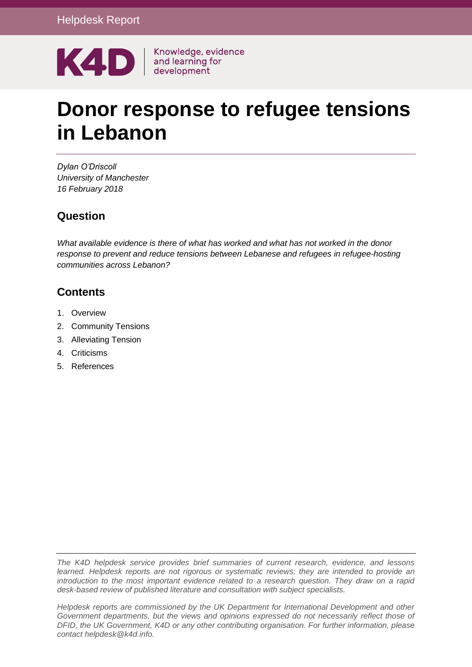

# **Donor response to refugee tensions in Lebanon**

*Dylan O'Driscoll University of Manchester 16 February 2018*

## **Question**

*What available evidence is there of what has worked and what has not worked in the donor response to prevent and reduce tensions between Lebanese and refugees in refugee-hosting communities across Lebanon?*

## **Contents**

- 1. [Overview](#page-0-0)
- 2. Community Tensions
- 3. Alleviating Tension
- 4. Criticisms
- <span id="page-0-0"></span>5. [References](#page-10-0)

*The K4D helpdesk service provides brief summaries of current research, evidence, and lessons learned. Helpdesk reports are not rigorous or systematic reviews; they are intended to provide an introduction to the most important evidence related to a research question. They draw on a rapid desk-based review of published literature and consultation with subject specialists.* 

*Helpdesk reports are commissioned by the UK Department for International Development and other Government departments, but the views and opinions expressed do not necessarily reflect those of DFID, the UK Government, K4D or any other contributing organisation. For further information, please contact helpdesk@k4d.info.*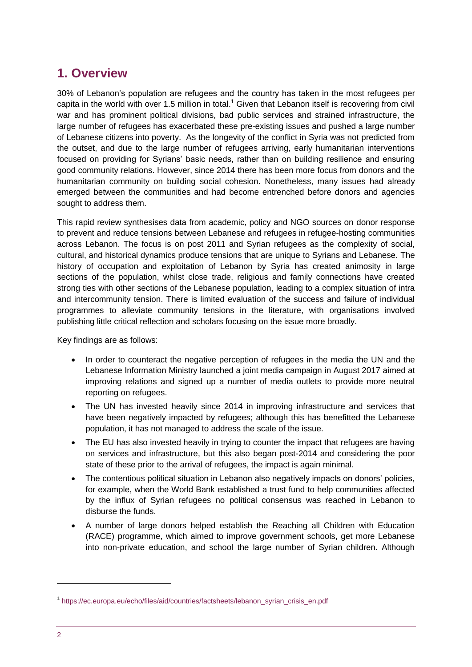# **1. Overview**

30% of Lebanon's population are refugees and the country has taken in the most refugees per capita in the world with over 1.5 million in total.<sup>1</sup> Given that Lebanon itself is recovering from civil war and has prominent political divisions, bad public services and strained infrastructure, the large number of refugees has exacerbated these pre-existing issues and pushed a large number of Lebanese citizens into poverty. As the longevity of the conflict in Syria was not predicted from the outset, and due to the large number of refugees arriving, early humanitarian interventions focused on providing for Syrians' basic needs, rather than on building resilience and ensuring good community relations. However, since 2014 there has been more focus from donors and the humanitarian community on building social cohesion. Nonetheless, many issues had already emerged between the communities and had become entrenched before donors and agencies sought to address them.

This rapid review synthesises data from academic, policy and NGO sources on donor response to prevent and reduce tensions between Lebanese and refugees in refugee-hosting communities across Lebanon. The focus is on post 2011 and Syrian refugees as the complexity of social, cultural, and historical dynamics produce tensions that are unique to Syrians and Lebanese. The history of occupation and exploitation of Lebanon by Syria has created animosity in large sections of the population, whilst close trade, religious and family connections have created strong ties with other sections of the Lebanese population, leading to a complex situation of intra and intercommunity tension. There is limited evaluation of the success and failure of individual programmes to alleviate community tensions in the literature, with organisations involved publishing little critical reflection and scholars focusing on the issue more broadly.

Key findings are as follows:

- In order to counteract the negative perception of refugees in the media the UN and the Lebanese Information Ministry launched a joint media campaign in August 2017 aimed at improving relations and signed up a number of media outlets to provide more neutral reporting on refugees.
- The UN has invested heavily since 2014 in improving infrastructure and services that have been negatively impacted by refugees; although this has benefitted the Lebanese population, it has not managed to address the scale of the issue.
- The EU has also invested heavily in trying to counter the impact that refugees are having on services and infrastructure, but this also began post-2014 and considering the poor state of these prior to the arrival of refugees, the impact is again minimal.
- The contentious political situation in Lebanon also negatively impacts on donors' policies, for example, when the World Bank established a trust fund to help communities affected by the influx of Syrian refugees no political consensus was reached in Lebanon to disburse the funds.
- A number of large donors helped establish the Reaching all Children with Education (RACE) programme, which aimed to improve government schools, get more Lebanese into non-private education, and school the large number of Syrian children. Although

<sup>&</sup>lt;sup>1</sup> [https://ec.europa.eu/echo/files/aid/countries/factsheets/lebanon\\_syrian\\_crisis\\_en.pdf](https://ec.europa.eu/echo/files/aid/countries/factsheets/lebanon_syrian_crisis_en.pdf)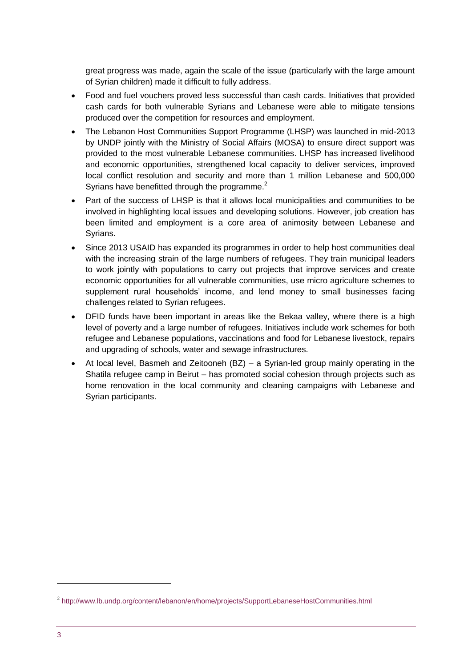great progress was made, again the scale of the issue (particularly with the large amount of Syrian children) made it difficult to fully address.

- Food and fuel vouchers proved less successful than cash cards. Initiatives that provided cash cards for both vulnerable Syrians and Lebanese were able to mitigate tensions produced over the competition for resources and employment.
- The Lebanon Host Communities Support Programme (LHSP) was launched in mid-2013 by UNDP jointly with the Ministry of Social Affairs (MOSA) to ensure direct support was provided to the most vulnerable Lebanese communities. LHSP has increased livelihood and economic opportunities, strengthened local capacity to deliver services, improved local conflict resolution and security and more than 1 million Lebanese and 500,000 Syrians have benefitted through the programme.<sup>2</sup>
- Part of the success of LHSP is that it allows local municipalities and communities to be involved in highlighting local issues and developing solutions. However, job creation has been limited and employment is a core area of animosity between Lebanese and Syrians.
- Since 2013 USAID has expanded its programmes in order to help host communities deal with the increasing strain of the large numbers of refugees. They train municipal leaders to work jointly with populations to carry out projects that improve services and create economic opportunities for all vulnerable communities, use micro agriculture schemes to supplement rural households' income, and lend money to small businesses facing challenges related to Syrian refugees.
- DFID funds have been important in areas like the Bekaa valley, where there is a high level of poverty and a large number of refugees. Initiatives include work schemes for both refugee and Lebanese populations, vaccinations and food for Lebanese livestock, repairs and upgrading of schools, water and sewage infrastructures.
- At local level, Basmeh and Zeitooneh (BZ) a Syrian-led group mainly operating in the Shatila refugee camp in Beirut – has promoted social cohesion through projects such as home renovation in the local community and cleaning campaigns with Lebanese and Syrian participants.

<sup>&</sup>lt;sup>2</sup> <http://www.lb.undp.org/content/lebanon/en/home/projects/SupportLebaneseHostCommunities.html>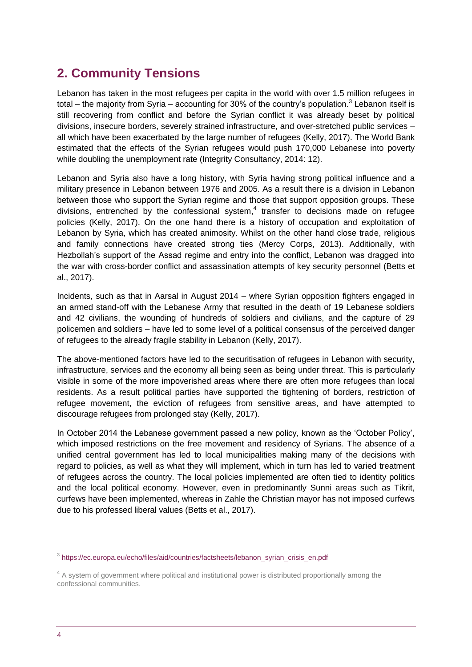# **2. Community Tensions**

Lebanon has taken in the most refugees per capita in the world with over 1.5 million refugees in total – the majority from Syria – accounting for 30% of the country's population.<sup>3</sup> Lebanon itself is still recovering from conflict and before the Syrian conflict it was already beset by political divisions, insecure borders, severely strained infrastructure, and over-stretched public services – all which have been exacerbated by the large number of refugees (Kelly, 2017). The World Bank estimated that the effects of the Syrian refugees would push 170,000 Lebanese into poverty while doubling the unemployment rate (Integrity Consultancy, 2014: 12).

Lebanon and Syria also have a long history, with Syria having strong political influence and a military presence in Lebanon between 1976 and 2005. As a result there is a division in Lebanon between those who support the Syrian regime and those that support opposition groups. These divisions, entrenched by the confessional system, $4$  transfer to decisions made on refugee policies (Kelly, 2017). On the one hand there is a history of occupation and exploitation of Lebanon by Syria, which has created animosity. Whilst on the other hand close trade, religious and family connections have created strong ties (Mercy Corps, 2013). Additionally, with Hezbollah's support of the Assad regime and entry into the conflict, Lebanon was dragged into the war with cross-border conflict and assassination attempts of key security personnel (Betts et al., 2017).

Incidents, such as that in Aarsal in August 2014 – where Syrian opposition fighters engaged in an armed stand-off with the Lebanese Army that resulted in the death of 19 Lebanese soldiers and 42 civilians, the wounding of hundreds of soldiers and civilians, and the capture of 29 policemen and soldiers – have led to some level of a political consensus of the perceived danger of refugees to the already fragile stability in Lebanon (Kelly, 2017).

The above-mentioned factors have led to the securitisation of refugees in Lebanon with security, infrastructure, services and the economy all being seen as being under threat. This is particularly visible in some of the more impoverished areas where there are often more refugees than local residents. As a result political parties have supported the tightening of borders, restriction of refugee movement, the eviction of refugees from sensitive areas, and have attempted to discourage refugees from prolonged stay (Kelly, 2017).

In October 2014 the Lebanese government passed a new policy, known as the 'October Policy', which imposed restrictions on the free movement and residency of Syrians. The absence of a unified central government has led to local municipalities making many of the decisions with regard to policies, as well as what they will implement, which in turn has led to varied treatment of refugees across the country. The local policies implemented are often tied to identity politics and the local political economy. However, even in predominantly Sunni areas such as Tikrit, curfews have been implemented, whereas in Zahle the Christian mayor has not imposed curfews due to his professed liberal values (Betts et al., 2017).

<sup>&</sup>lt;sup>3</sup> [https://ec.europa.eu/echo/files/aid/countries/factsheets/lebanon\\_syrian\\_crisis\\_en.pdf](https://ec.europa.eu/echo/files/aid/countries/factsheets/lebanon_syrian_crisis_en.pdf)

<sup>&</sup>lt;sup>4</sup> A system of government where political and institutional power is distributed proportionally among the confessional communities.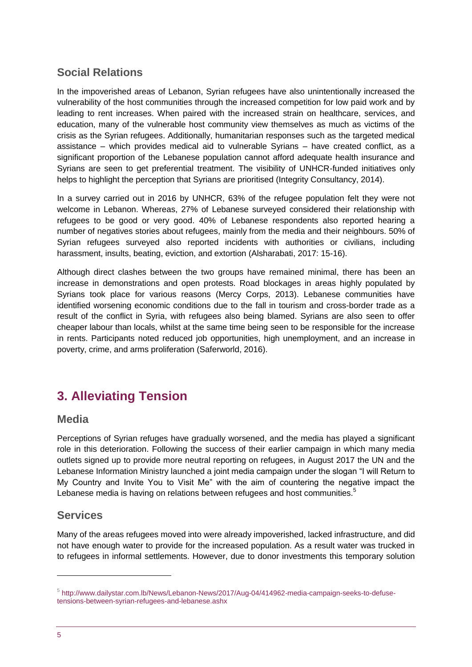## **Social Relations**

In the impoverished areas of Lebanon, Syrian refugees have also unintentionally increased the vulnerability of the host communities through the increased competition for low paid work and by leading to rent increases. When paired with the increased strain on healthcare, services, and education, many of the vulnerable host community view themselves as much as victims of the crisis as the Syrian refugees. Additionally, humanitarian responses such as the targeted medical assistance – which provides medical aid to vulnerable Syrians – have created conflict, as a significant proportion of the Lebanese population cannot afford adequate health insurance and Syrians are seen to get preferential treatment. The visibility of UNHCR-funded initiatives only helps to highlight the perception that Syrians are prioritised (Integrity Consultancy, 2014).

In a survey carried out in 2016 by UNHCR, 63% of the refugee population felt they were not welcome in Lebanon. Whereas, 27% of Lebanese surveyed considered their relationship with refugees to be good or very good. 40% of Lebanese respondents also reported hearing a number of negatives stories about refugees, mainly from the media and their neighbours. 50% of Syrian refugees surveyed also reported incidents with authorities or civilians, including harassment, insults, beating, eviction, and extortion (Alsharabati, 2017: 15-16).

Although direct clashes between the two groups have remained minimal, there has been an increase in demonstrations and open protests. Road blockages in areas highly populated by Syrians took place for various reasons (Mercy Corps, 2013). Lebanese communities have identified worsening economic conditions due to the fall in tourism and cross-border trade as a result of the conflict in Syria, with refugees also being blamed. Syrians are also seen to offer cheaper labour than locals, whilst at the same time being seen to be responsible for the increase in rents. Participants noted reduced job opportunities, high unemployment, and an increase in poverty, crime, and arms proliferation (Saferworld, 2016).

# **3. Alleviating Tension**

## **Media**

Perceptions of Syrian refuges have gradually worsened, and the media has played a significant role in this deterioration. Following the success of their earlier campaign in which many media outlets signed up to provide more neutral reporting on refugees, in August 2017 the UN and the Lebanese Information Ministry launched a joint media campaign under the slogan "I will Return to My Country and Invite You to Visit Me" with the aim of countering the negative impact the Lebanese media is having on relations between refugees and host communities.<sup>5</sup>

## **Services**

Many of the areas refugees moved into were already impoverished, lacked infrastructure, and did not have enough water to provide for the increased population. As a result water was trucked in to refugees in informal settlements. However, due to donor investments this temporary solution

-

<sup>&</sup>lt;sup>5</sup> [http://www.dailystar.com.lb/News/Lebanon-News/2017/Aug-04/414962-media-campaign-seeks-to-defuse](http://www.dailystar.com.lb/News/Lebanon-News/2017/Aug-04/414962-media-campaign-seeks-to-defuse-tensions-between-syrian-refugees-and-lebanese.ashx)[tensions-between-syrian-refugees-and-lebanese.ashx](http://www.dailystar.com.lb/News/Lebanon-News/2017/Aug-04/414962-media-campaign-seeks-to-defuse-tensions-between-syrian-refugees-and-lebanese.ashx)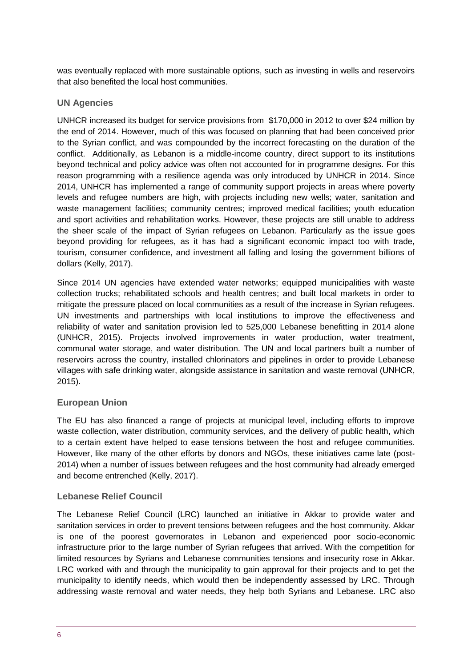was eventually replaced with more sustainable options, such as investing in wells and reservoirs that also benefited the local host communities.

#### **UN Agencies**

UNHCR increased its budget for service provisions from \$170,000 in 2012 to over \$24 million by the end of 2014. However, much of this was focused on planning that had been conceived prior to the Syrian conflict, and was compounded by the incorrect forecasting on the duration of the conflict. Additionally, as Lebanon is a middle-income country, direct support to its institutions beyond technical and policy advice was often not accounted for in programme designs. For this reason programming with a resilience agenda was only introduced by UNHCR in 2014. Since 2014, UNHCR has implemented a range of community support projects in areas where poverty levels and refugee numbers are high, with projects including new wells; water, sanitation and waste management facilities; community centres; improved medical facilities; youth education and sport activities and rehabilitation works. However, these projects are still unable to address the sheer scale of the impact of Syrian refugees on Lebanon. Particularly as the issue goes beyond providing for refugees, as it has had a significant economic impact too with trade, tourism, consumer confidence, and investment all falling and losing the government billions of dollars (Kelly, 2017).

Since 2014 UN agencies have extended water networks; equipped municipalities with waste collection trucks; rehabilitated schools and health centres; and built local markets in order to mitigate the pressure placed on local communities as a result of the increase in Syrian refugees. UN investments and partnerships with local institutions to improve the effectiveness and reliability of water and sanitation provision led to 525,000 Lebanese benefitting in 2014 alone (UNHCR, 2015). Projects involved improvements in water production, water treatment, communal water storage, and water distribution. The UN and local partners built a number of reservoirs across the country, installed chlorinators and pipelines in order to provide Lebanese villages with safe drinking water, alongside assistance in sanitation and waste removal (UNHCR, 2015).

#### **European Union**

The EU has also financed a range of projects at municipal level, including efforts to improve waste collection, water distribution, community services, and the delivery of public health, which to a certain extent have helped to ease tensions between the host and refugee communities. However, like many of the other efforts by donors and NGOs, these initiatives came late (post-2014) when a number of issues between refugees and the host community had already emerged and become entrenched (Kelly, 2017).

#### **Lebanese Relief Council**

The Lebanese Relief Council (LRC) launched an initiative in Akkar to provide water and sanitation services in order to prevent tensions between refugees and the host community. Akkar is one of the poorest governorates in Lebanon and experienced poor socio-economic infrastructure prior to the large number of Syrian refugees that arrived. With the competition for limited resources by Syrians and Lebanese communities tensions and insecurity rose in Akkar. LRC worked with and through the municipality to gain approval for their projects and to get the municipality to identify needs, which would then be independently assessed by LRC. Through addressing waste removal and water needs, they help both Syrians and Lebanese. LRC also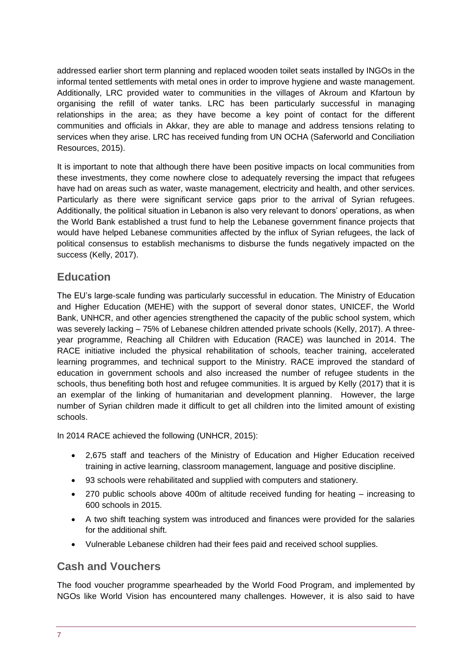addressed earlier short term planning and replaced wooden toilet seats installed by INGOs in the informal tented settlements with metal ones in order to improve hygiene and waste management. Additionally, LRC provided water to communities in the villages of Akroum and Kfartoun by organising the refill of water tanks. LRC has been particularly successful in managing relationships in the area; as they have become a key point of contact for the different communities and officials in Akkar, they are able to manage and address tensions relating to services when they arise. LRC has received funding from UN OCHA (Saferworld and Conciliation Resources, 2015).

It is important to note that although there have been positive impacts on local communities from these investments, they come nowhere close to adequately reversing the impact that refugees have had on areas such as water, waste management, electricity and health, and other services. Particularly as there were significant service gaps prior to the arrival of Syrian refugees. Additionally, the political situation in Lebanon is also very relevant to donors' operations, as when the World Bank established a trust fund to help the Lebanese government finance projects that would have helped Lebanese communities affected by the influx of Syrian refugees, the lack of political consensus to establish mechanisms to disburse the funds negatively impacted on the success (Kelly, 2017).

## **Education**

The EU's large-scale funding was particularly successful in education. The Ministry of Education and Higher Education (MEHE) with the support of several donor states, UNICEF, the World Bank, UNHCR, and other agencies strengthened the capacity of the public school system, which was severely lacking – 75% of Lebanese children attended private schools (Kelly, 2017). A threeyear programme, Reaching all Children with Education (RACE) was launched in 2014. The RACE initiative included the physical rehabilitation of schools, teacher training, accelerated learning programmes, and technical support to the Ministry. RACE improved the standard of education in government schools and also increased the number of refugee students in the schools, thus benefiting both host and refugee communities. It is argued by Kelly (2017) that it is an exemplar of the linking of humanitarian and development planning. However, the large number of Syrian children made it difficult to get all children into the limited amount of existing schools.

In 2014 RACE achieved the following (UNHCR, 2015):

- 2,675 staff and teachers of the Ministry of Education and Higher Education received training in active learning, classroom management, language and positive discipline.
- 93 schools were rehabilitated and supplied with computers and stationery.
- 270 public schools above 400m of altitude received funding for heating increasing to 600 schools in 2015.
- A two shift teaching system was introduced and finances were provided for the salaries for the additional shift.
- Vulnerable Lebanese children had their fees paid and received school supplies.

## **Cash and Vouchers**

The food voucher programme spearheaded by the World Food Program, and implemented by NGOs like World Vision has encountered many challenges. However, it is also said to have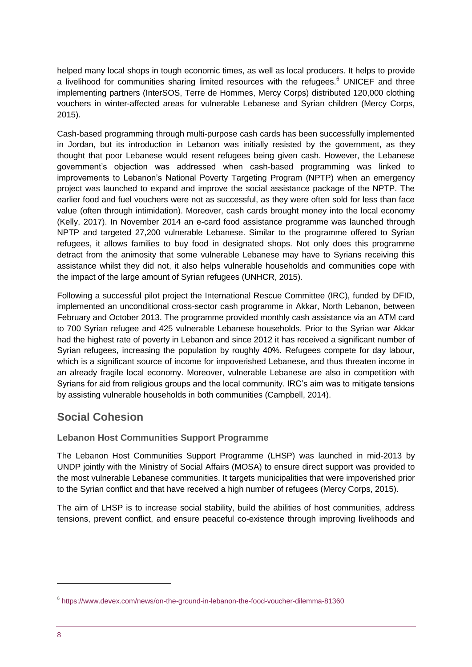helped many local shops in tough economic times, as well as local producers. It helps to provide a livelihood for communities sharing limited resources with the refugees.<sup>6</sup> UNICEF and three implementing partners (InterSOS, Terre de Hommes, Mercy Corps) distributed 120,000 clothing vouchers in winter-affected areas for vulnerable Lebanese and Syrian children (Mercy Corps, 2015).

Cash-based programming through multi-purpose cash cards has been successfully implemented in Jordan, but its introduction in Lebanon was initially resisted by the government, as they thought that poor Lebanese would resent refugees being given cash. However, the Lebanese government's objection was addressed when cash-based programming was linked to improvements to Lebanon's National Poverty Targeting Program (NPTP) when an emergency project was launched to expand and improve the social assistance package of the NPTP. The earlier food and fuel vouchers were not as successful, as they were often sold for less than face value (often through intimidation). Moreover, cash cards brought money into the local economy (Kelly, 2017). In November 2014 an e-card food assistance programme was launched through NPTP and targeted 27,200 vulnerable Lebanese. Similar to the programme offered to Syrian refugees, it allows families to buy food in designated shops. Not only does this programme detract from the animosity that some vulnerable Lebanese may have to Syrians receiving this assistance whilst they did not, it also helps vulnerable households and communities cope with the impact of the large amount of Syrian refugees (UNHCR, 2015).

Following a successful pilot project the International Rescue Committee (IRC), funded by DFID, implemented an unconditional cross-sector cash programme in Akkar, North Lebanon, between February and October 2013. The programme provided monthly cash assistance via an ATM card to 700 Syrian refugee and 425 vulnerable Lebanese households. Prior to the Syrian war Akkar had the highest rate of poverty in Lebanon and since 2012 it has received a significant number of Syrian refugees, increasing the population by roughly 40%. Refugees compete for day labour, which is a significant source of income for impoverished Lebanese, and thus threaten income in an already fragile local economy. Moreover, vulnerable Lebanese are also in competition with Syrians for aid from religious groups and the local community. IRC's aim was to mitigate tensions by assisting vulnerable households in both communities (Campbell, 2014).

## **Social Cohesion**

## **Lebanon Host Communities Support Programme**

The Lebanon Host Communities Support Programme (LHSP) was launched in mid-2013 by UNDP jointly with the Ministry of Social Affairs (MOSA) to ensure direct support was provided to the most vulnerable Lebanese communities. It targets municipalities that were impoverished prior to the Syrian conflict and that have received a high number of refugees (Mercy Corps, 2015).

The aim of LHSP is to increase social stability, build the abilities of host communities, address tensions, prevent conflict, and ensure peaceful co-existence through improving livelihoods and

<sup>6</sup> <https://www.devex.com/news/on-the-ground-in-lebanon-the-food-voucher-dilemma-81360>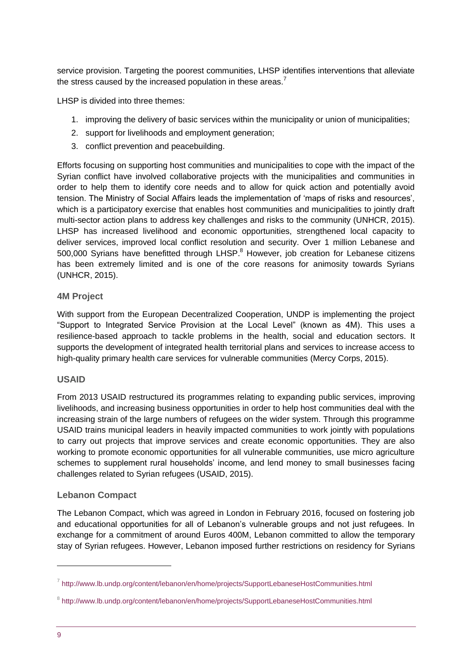service provision. Targeting the poorest communities, LHSP identifies interventions that alleviate the stress caused by the increased population in these areas. $<sup>7</sup>$ </sup>

LHSP is divided into three themes:

- 1. improving the delivery of basic services within the municipality or union of municipalities;
- 2. support for livelihoods and employment generation;
- 3. conflict prevention and peacebuilding.

Efforts focusing on supporting host communities and municipalities to cope with the impact of the Syrian conflict have involved collaborative projects with the municipalities and communities in order to help them to identify core needs and to allow for quick action and potentially avoid tension. The Ministry of Social Affairs leads the implementation of 'maps of risks and resources', which is a participatory exercise that enables host communities and municipalities to jointly draft multi-sector action plans to address key challenges and risks to the community (UNHCR, 2015). LHSP has increased livelihood and economic opportunities, strengthened local capacity to deliver services, improved local conflict resolution and security. Over 1 million Lebanese and 500,000 Syrians have benefitted through LHSP.<sup>8</sup> However, job creation for Lebanese citizens has been extremely limited and is one of the core reasons for animosity towards Syrians (UNHCR, 2015).

#### **4M Project**

With support from the European Decentralized Cooperation, UNDP is implementing the project "Support to Integrated Service Provision at the Local Level" (known as 4M). This uses a resilience-based approach to tackle problems in the health, social and education sectors. It supports the development of integrated health territorial plans and services to increase access to high-quality primary health care services for vulnerable communities (Mercy Corps, 2015).

#### **USAID**

From 2013 USAID restructured its programmes relating to expanding public services, improving livelihoods, and increasing business opportunities in order to help host communities deal with the increasing strain of the large numbers of refugees on the wider system. Through this programme USAID trains municipal leaders in heavily impacted communities to work jointly with populations to carry out projects that improve services and create economic opportunities. They are also working to promote economic opportunities for all vulnerable communities, use micro agriculture schemes to supplement rural households' income, and lend money to small businesses facing challenges related to Syrian refugees (USAID, 2015).

### **Lebanon Compact**

The Lebanon Compact, which was agreed in London in February 2016, focused on fostering job and educational opportunities for all of Lebanon's vulnerable groups and not just refugees. In exchange for a commitment of around Euros 400M, Lebanon committed to allow the temporary stay of Syrian refugees. However, Lebanon imposed further restrictions on residency for Syrians

-

<sup>&</sup>lt;sup>7</sup> <http://www.lb.undp.org/content/lebanon/en/home/projects/SupportLebaneseHostCommunities.html>

<sup>&</sup>lt;sup>8</sup> <http://www.lb.undp.org/content/lebanon/en/home/projects/SupportLebaneseHostCommunities.html>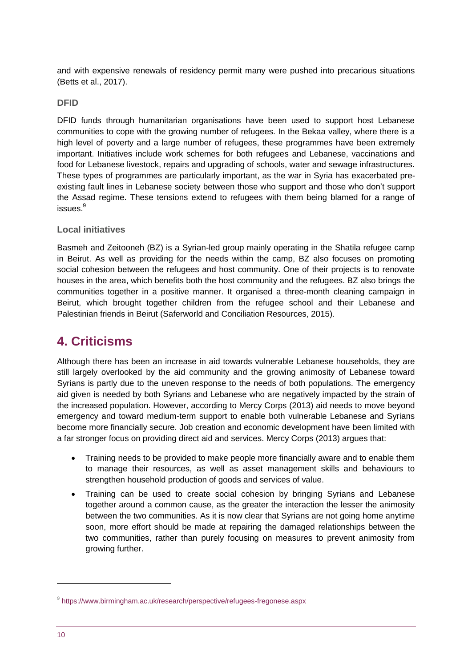and with expensive renewals of residency permit many were pushed into precarious situations (Betts et al., 2017).

#### **DFID**

DFID funds through humanitarian organisations have been used to support host Lebanese communities to cope with the growing number of refugees. In the Bekaa valley, where there is a high level of poverty and a large number of refugees, these programmes have been extremely important. Initiatives include work schemes for both refugees and Lebanese, vaccinations and food for Lebanese livestock, repairs and upgrading of schools, water and sewage infrastructures. These types of programmes are particularly important, as the war in Syria has exacerbated preexisting fault lines in Lebanese society between those who support and those who don't support the Assad regime. These tensions extend to refugees with them being blamed for a range of issues. $^9$ 

#### **Local initiatives**

Basmeh and Zeitooneh (BZ) is a Syrian-led group mainly operating in the Shatila refugee camp in Beirut. As well as providing for the needs within the camp, BZ also focuses on promoting social cohesion between the refugees and host community. One of their projects is to renovate houses in the area, which benefits both the host community and the refugees. BZ also brings the communities together in a positive manner. It organised a three-month cleaning campaign in Beirut, which brought together children from the refugee school and their Lebanese and Palestinian friends in Beirut (Saferworld and Conciliation Resources, 2015).

# **4. Criticisms**

Although there has been an increase in aid towards vulnerable Lebanese households, they are still largely overlooked by the aid community and the growing animosity of Lebanese toward Syrians is partly due to the uneven response to the needs of both populations. The emergency aid given is needed by both Syrians and Lebanese who are negatively impacted by the strain of the increased population. However, according to Mercy Corps (2013) aid needs to move beyond emergency and toward medium-term support to enable both vulnerable Lebanese and Syrians become more financially secure. Job creation and economic development have been limited with a far stronger focus on providing direct aid and services. Mercy Corps (2013) argues that:

- Training needs to be provided to make people more financially aware and to enable them to manage their resources, as well as asset management skills and behaviours to strengthen household production of goods and services of value.
- Training can be used to create social cohesion by bringing Syrians and Lebanese together around a common cause, as the greater the interaction the lesser the animosity between the two communities. As it is now clear that Syrians are not going home anytime soon, more effort should be made at repairing the damaged relationships between the two communities, rather than purely focusing on measures to prevent animosity from growing further.

<sup>9</sup> <https://www.birmingham.ac.uk/research/perspective/refugees-fregonese.aspx>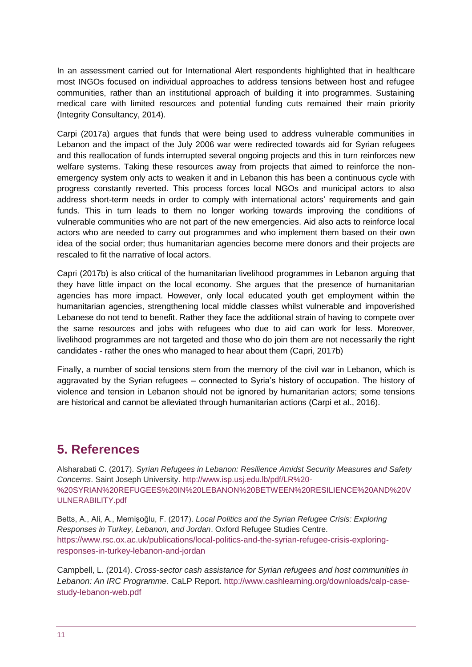In an assessment carried out for International Alert respondents highlighted that in healthcare most INGOs focused on individual approaches to address tensions between host and refugee communities, rather than an institutional approach of building it into programmes. Sustaining medical care with limited resources and potential funding cuts remained their main priority (Integrity Consultancy, 2014).

Carpi (2017a) argues that funds that were being used to address vulnerable communities in Lebanon and the impact of the July 2006 war were redirected towards aid for Syrian refugees and this reallocation of funds interrupted several ongoing projects and this in turn reinforces new welfare systems. Taking these resources away from projects that aimed to reinforce the nonemergency system only acts to weaken it and in Lebanon this has been a continuous cycle with progress constantly reverted. This process forces local NGOs and municipal actors to also address short-term needs in order to comply with international actors' requirements and gain funds. This in turn leads to them no longer working towards improving the conditions of vulnerable communities who are not part of the new emergencies. Aid also acts to reinforce local actors who are needed to carry out programmes and who implement them based on their own idea of the social order; thus humanitarian agencies become mere donors and their projects are rescaled to fit the narrative of local actors.

Capri (2017b) is also critical of the humanitarian livelihood programmes in Lebanon arguing that they have little impact on the local economy. She argues that the presence of humanitarian agencies has more impact. However, only local educated youth get employment within the humanitarian agencies, strengthening local middle classes whilst vulnerable and impoverished Lebanese do not tend to benefit. Rather they face the additional strain of having to compete over the same resources and jobs with refugees who due to aid can work for less. Moreover, livelihood programmes are not targeted and those who do join them are not necessarily the right candidates - rather the ones who managed to hear about them (Capri, 2017b)

Finally, a number of social tensions stem from the memory of the civil war in Lebanon, which is aggravated by the Syrian refugees – connected to Syria's history of occupation. The history of violence and tension in Lebanon should not be ignored by humanitarian actors; some tensions are historical and cannot be alleviated through humanitarian actions (Carpi et al., 2016).

# <span id="page-10-0"></span>**5. References**

Alsharabati C. (2017). *Syrian Refugees in Lebanon: Resilience Amidst Security Measures and Safety Concerns*. Saint Joseph University. [http://www.isp.usj.edu.lb/pdf/LR%20-](http://www.isp.usj.edu.lb/pdf/LR%20-%20SYRIAN%20REFUGEES%20IN%20LEBANON%20BETWEEN%20RESILIENCE%20AND%20VULNERABILITY.pdf) [%20SYRIAN%20REFUGEES%20IN%20LEBANON%20BETWEEN%20RESILIENCE%20AND%20V](http://www.isp.usj.edu.lb/pdf/LR%20-%20SYRIAN%20REFUGEES%20IN%20LEBANON%20BETWEEN%20RESILIENCE%20AND%20VULNERABILITY.pdf) [ULNERABILITY.pdf](http://www.isp.usj.edu.lb/pdf/LR%20-%20SYRIAN%20REFUGEES%20IN%20LEBANON%20BETWEEN%20RESILIENCE%20AND%20VULNERABILITY.pdf)

Betts, A., Ali, A., Memişoğlu, F. (2017). *Local Politics and the Syrian Refugee Crisis: Exploring Responses in Turkey, Lebanon, and Jordan*. Oxford Refugee Studies Centre. [https://www.rsc.ox.ac.uk/publications/local-politics-and-the-syrian-refugee-crisis-exploring](https://www.rsc.ox.ac.uk/publications/local-politics-and-the-syrian-refugee-crisis-exploring-responses-in-turkey-lebanon-and-jordan)[responses-in-turkey-lebanon-and-jordan](https://www.rsc.ox.ac.uk/publications/local-politics-and-the-syrian-refugee-crisis-exploring-responses-in-turkey-lebanon-and-jordan)

Campbell, L. (2014). *Cross-sector cash assistance for Syrian refugees and host communities in Lebanon: An IRC Programme*. CaLP Report. [http://www.cashlearning.org/downloads/calp-case](http://www.cashlearning.org/downloads/calp-case-study-lebanon-web.pdf)[study-lebanon-web.pdf](http://www.cashlearning.org/downloads/calp-case-study-lebanon-web.pdf)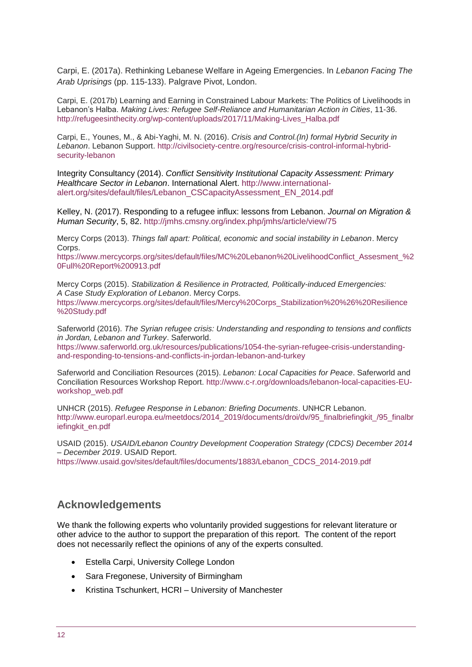Carpi, E. (2017a). Rethinking Lebanese Welfare in Ageing Emergencies. In *Lebanon Facing The Arab Uprisings* (pp. 115-133). Palgrave Pivot, London.

Carpi, E. (2017b) Learning and Earning in Constrained Labour Markets: The Politics of Livelihoods in Lebanon's Halba. *Making Lives: Refugee Self-Reliance and Humanitarian Action in Cities*, 11-36. [http://refugeesinthecity.org/wp-content/uploads/2017/11/Making-Lives\\_Halba.pdf](http://refugeesinthecity.org/wp-content/uploads/2017/11/Making-Lives_Halba.pdf)

Carpi, E., Younes, M., & Abi-Yaghi, M. N. (2016). *Crisis and Control.(In) formal Hybrid Security in Lebanon*. Lebanon Support. [http://civilsociety-centre.org/resource/crisis-control-informal-hybrid](http://civilsociety-centre.org/resource/crisis-control-informal-hybrid-security-lebanon)[security-lebanon](http://civilsociety-centre.org/resource/crisis-control-informal-hybrid-security-lebanon)

Integrity Consultancy (2014). *Conflict Sensitivity Institutional Capacity Assessment: Primary Healthcare Sector in Lebanon*. International Alert. [http://www.international](http://www.international-alert.org/sites/default/files/Lebanon_CSCapacityAssessment_EN_2014.pdf)[alert.org/sites/default/files/Lebanon\\_CSCapacityAssessment\\_EN\\_2014.pdf](http://www.international-alert.org/sites/default/files/Lebanon_CSCapacityAssessment_EN_2014.pdf)

Kelley, N. (2017). Responding to a refugee influx: lessons from Lebanon. *Journal on Migration & Human Security*, 5, 82. <http://jmhs.cmsny.org/index.php/jmhs/article/view/75>

Mercy Corps (2013). *Things fall apart: Political, economic and social instability in Lebanon*. Mercy Corps.

[https://www.mercycorps.org/sites/default/files/MC%20Lebanon%20LivelihoodConflict\\_Assesment\\_%2](https://www.mercycorps.org/sites/default/files/MC%20Lebanon%20LivelihoodConflict_Assesment_%20Full%20Report%200913.pdf) [0Full%20Report%200913.pdf](https://www.mercycorps.org/sites/default/files/MC%20Lebanon%20LivelihoodConflict_Assesment_%20Full%20Report%200913.pdf)

Mercy Corps (2015). *Stabilization & Resilience in Protracted, Politically-induced Emergencies: A Case Study Exploration of Lebanon*. Mercy Corps.

[https://www.mercycorps.org/sites/default/files/Mercy%20Corps\\_Stabilization%20%26%20Resilience](https://www.mercycorps.org/sites/default/files/Mercy%20Corps_Stabilization%20%26%20Resilience%20Study.pdf) [%20Study.pdf](https://www.mercycorps.org/sites/default/files/Mercy%20Corps_Stabilization%20%26%20Resilience%20Study.pdf)

Saferworld (2016). *The Syrian refugee crisis: Understanding and responding to tensions and conflicts in Jordan, Lebanon and Turkey*. Saferworld.

[https://www.saferworld.org.uk/resources/publications/1054-the-syrian-refugee-crisis-understanding](https://www.saferworld.org.uk/resources/publications/1054-the-syrian-refugee-crisis-understanding-and-responding-to-tensions-and-conflicts-in-jordan-lebanon-and-turkey)[and-responding-to-tensions-and-conflicts-in-jordan-lebanon-and-turkey](https://www.saferworld.org.uk/resources/publications/1054-the-syrian-refugee-crisis-understanding-and-responding-to-tensions-and-conflicts-in-jordan-lebanon-and-turkey)

Saferworld and Conciliation Resources (2015). *Lebanon: Local Capacities for Peace*. Saferworld and Conciliation Resources Workshop Report. [http://www.c-r.org/downloads/lebanon-local-capacities-EU](http://www.c-r.org/downloads/lebanon-local-capacities-EU-workshop_web.pdf)[workshop\\_web.pdf](http://www.c-r.org/downloads/lebanon-local-capacities-EU-workshop_web.pdf)

UNHCR (2015). *Refugee Response in Lebanon: Briefing Documents*. UNHCR Lebanon. [http://www.europarl.europa.eu/meetdocs/2014\\_2019/documents/droi/dv/95\\_finalbriefingkit\\_/95\\_finalbr](http://www.europarl.europa.eu/meetdocs/2014_2019/documents/droi/dv/95_finalbriefingkit_/95_finalbriefingkit_en.pdf) [iefingkit\\_en.pdf](http://www.europarl.europa.eu/meetdocs/2014_2019/documents/droi/dv/95_finalbriefingkit_/95_finalbriefingkit_en.pdf)

USAID (2015). *USAID/Lebanon Country Development Cooperation Strategy (CDCS) December 2014 – December 2019*. USAID Report.

[https://www.usaid.gov/sites/default/files/documents/1883/Lebanon\\_CDCS\\_2014-2019.pdf](https://www.usaid.gov/sites/default/files/documents/1883/Lebanon_CDCS_2014-2019.pdf)

## **Acknowledgements**

We thank the following experts who voluntarily provided suggestions for relevant literature or other advice to the author to support the preparation of this report. The content of the report does not necessarily reflect the opinions of any of the experts consulted.

- Estella Carpi, University College London
- Sara Fregonese, University of Birmingham
- Kristina Tschunkert, HCRI University of Manchester